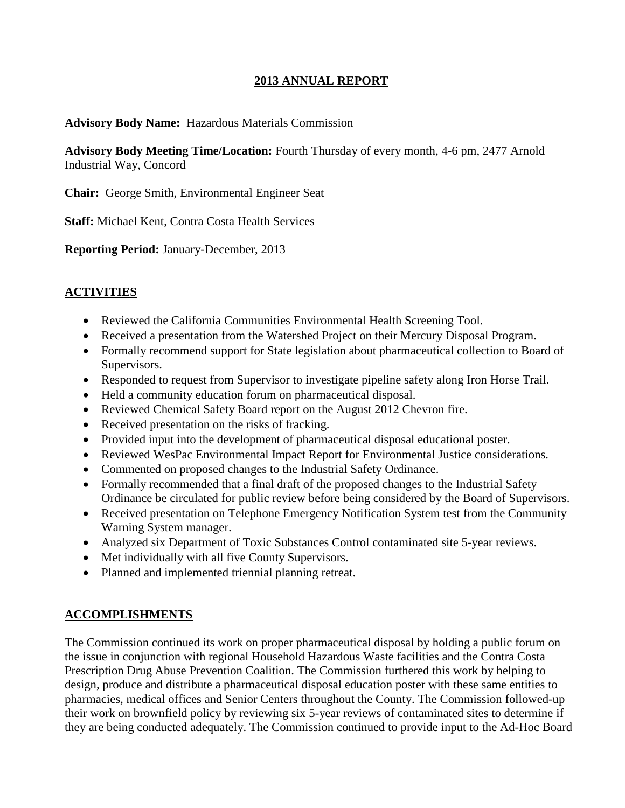### **2013 ANNUAL REPORT**

#### **Advisory Body Name:** Hazardous Materials Commission

**Advisory Body Meeting Time/Location:** Fourth Thursday of every month, 4-6 pm, 2477 Arnold Industrial Way, Concord

**Chair:** George Smith, Environmental Engineer Seat

**Staff:** Michael Kent, Contra Costa Health Services

**Reporting Period:** January-December, 2013

#### **ACTIVITIES**

- Reviewed the California Communities Environmental Health Screening Tool.
- Received a presentation from the Watershed Project on their Mercury Disposal Program.
- Formally recommend support for State legislation about pharmaceutical collection to Board of Supervisors.
- Responded to request from Supervisor to investigate pipeline safety along Iron Horse Trail.
- Held a community education forum on pharmaceutical disposal.
- Reviewed Chemical Safety Board report on the August 2012 Chevron fire.
- Received presentation on the risks of fracking.
- Provided input into the development of pharmaceutical disposal educational poster.
- Reviewed WesPac Environmental Impact Report for Environmental Justice considerations.
- Commented on proposed changes to the Industrial Safety Ordinance.
- Formally recommended that a final draft of the proposed changes to the Industrial Safety Ordinance be circulated for public review before being considered by the Board of Supervisors.
- Received presentation on Telephone Emergency Notification System test from the Community Warning System manager.
- Analyzed six Department of Toxic Substances Control contaminated site 5-year reviews.
- Met individually with all five County Supervisors.
- Planned and implemented triennial planning retreat.

#### **ACCOMPLISHMENTS**

The Commission continued its work on proper pharmaceutical disposal by holding a public forum on the issue in conjunction with regional Household Hazardous Waste facilities and the Contra Costa Prescription Drug Abuse Prevention Coalition. The Commission furthered this work by helping to design, produce and distribute a pharmaceutical disposal education poster with these same entities to pharmacies, medical offices and Senior Centers throughout the County. The Commission followed-up their work on brownfield policy by reviewing six 5-year reviews of contaminated sites to determine if they are being conducted adequately. The Commission continued to provide input to the Ad-Hoc Board